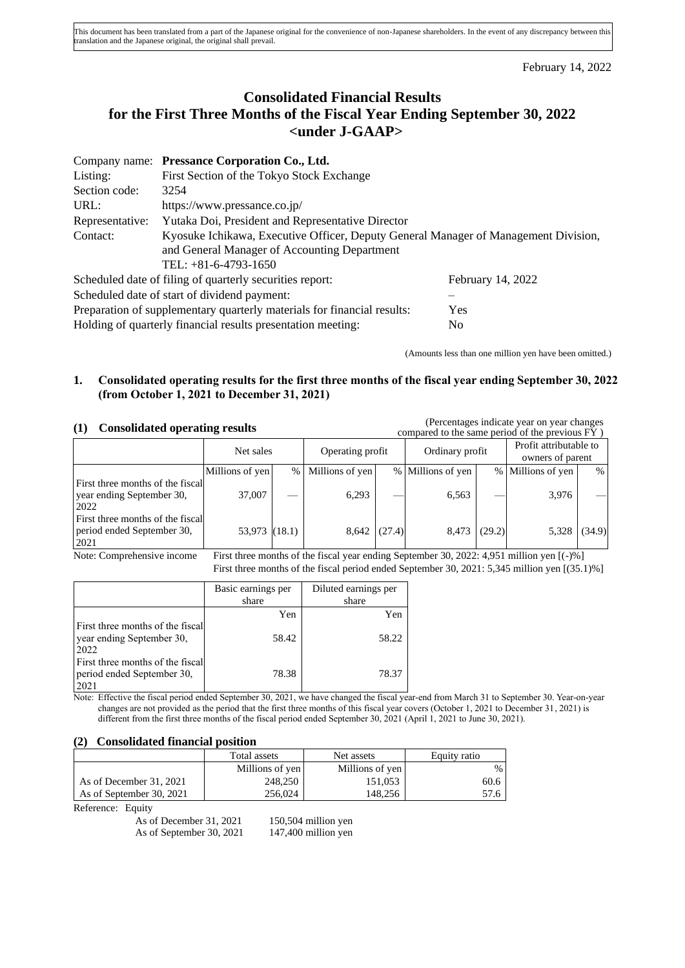February 14, 2022

# **Consolidated Financial Results for the First Three Months of the Fiscal Year Ending September 30, 2022 <under J-GAAP>**

|                                                                                | Company name: Pressance Corporation Co., Ltd.                                       |                   |  |  |  |
|--------------------------------------------------------------------------------|-------------------------------------------------------------------------------------|-------------------|--|--|--|
| Listing:                                                                       | First Section of the Tokyo Stock Exchange                                           |                   |  |  |  |
| Section code:                                                                  | 3254                                                                                |                   |  |  |  |
| URL:                                                                           | https://www.pressance.co.jp/                                                        |                   |  |  |  |
| Representative:                                                                | Yutaka Doi, President and Representative Director                                   |                   |  |  |  |
| Contact:                                                                       | Kyosuke Ichikawa, Executive Officer, Deputy General Manager of Management Division, |                   |  |  |  |
|                                                                                | and General Manager of Accounting Department                                        |                   |  |  |  |
|                                                                                | TEL: $+81-6-4793-1650$                                                              |                   |  |  |  |
|                                                                                | Scheduled date of filing of quarterly securities report:                            | February 14, 2022 |  |  |  |
|                                                                                | Scheduled date of start of dividend payment:                                        |                   |  |  |  |
| Preparation of supplementary quarterly materials for financial results:<br>Yes |                                                                                     |                   |  |  |  |
|                                                                                | Holding of quarterly financial results presentation meeting:                        | No                |  |  |  |

(Amounts less than one million yen have been omitted.)

## **1. Consolidated operating results for the first three months of the fiscal year ending September 30, 2022 (from October 1, 2021 to December 31, 2021)**

**(1) Consolidated operating results** (Percentages indicate year on year changes

| <b>U</b><br>Consonuated operating results                              |                 |        |                  |        |                   |        | compared to the same period of the previous FY) |        |
|------------------------------------------------------------------------|-----------------|--------|------------------|--------|-------------------|--------|-------------------------------------------------|--------|
|                                                                        | Net sales       |        | Operating profit |        | Ordinary profit   |        | Profit attributable to<br>owners of parent      |        |
|                                                                        | Millions of yen | $\%$   | Millions of yen  |        | % Millions of yen |        | % Millions of yen                               | %      |
| First three months of the fiscal<br>year ending September 30,<br>2022  | 37,007          |        | 6,293            |        | 6,563             |        | 3,976                                           |        |
| First three months of the fiscal<br>period ended September 30,<br>2021 | 53,973          | (18.1) | 8,642            | (27.4) | 8,473             | (29.2) | 5,328                                           | (34.9) |

Note: Comprehensive income First three months of the fiscal year ending September 30, 2022: 4,951 million yen [(-)%] First three months of the fiscal period ended September 30, 2021: 5,345 million yen [(35.1)%]

|                                                                        | Basic earnings per<br>share | Diluted earnings per<br>share |
|------------------------------------------------------------------------|-----------------------------|-------------------------------|
|                                                                        | Yen                         | Yen                           |
| First three months of the fiscal<br>year ending September 30,<br>2022  | 58.42                       | 58.22                         |
| First three months of the fiscal<br>period ended September 30,<br>2021 | 78.38                       | 78.37                         |

Note: Effective the fiscal period ended September 30, 2021, we have changed the fiscal year-end from March 31 to September 30. Year-on-year changes are not provided as the period that the first three months of this fiscal year covers (October 1, 2021 to December 31, 2021) is different from the first three months of the fiscal period ended September 30, 2021 (April 1, 2021 to June 30, 2021).

#### **(2) Consolidated financial position**

|                          | Total assets    | Net assets      | Equity ratio |
|--------------------------|-----------------|-----------------|--------------|
|                          | Millions of yen | Millions of yen | $%$ 1        |
| As of December 31, 2021  | 248,250         | 151.053         | 60.6         |
| As of September 30, 2021 | 256,024         | 148.256         | 57.6 I       |

Reference: Equity

As of December 31, 2021 150,504 million yen As of September 30, 2021 147,400 million yen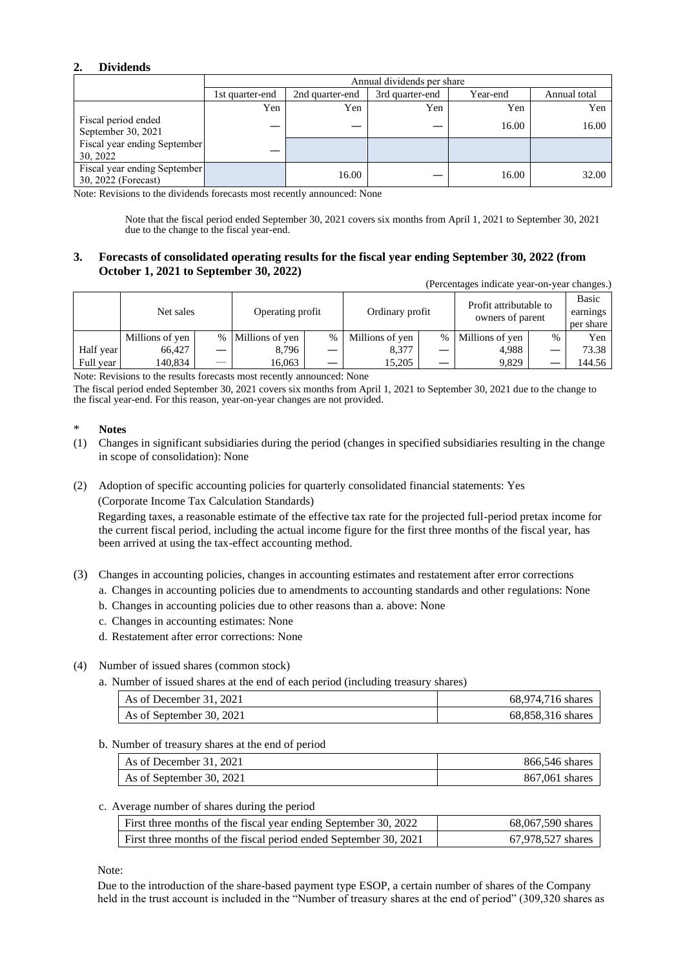# **2. Dividends**

|                                                     | Annual dividends per share |                 |                 |          |              |  |
|-----------------------------------------------------|----------------------------|-----------------|-----------------|----------|--------------|--|
|                                                     | 1st quarter-end            | 2nd quarter-end | 3rd quarter-end | Year-end | Annual total |  |
|                                                     | Yen                        | Yen             | Yen             | Yen      | Yen          |  |
| Fiscal period ended<br>September 30, 2021           |                            |                 |                 | 16.00    | 16.00        |  |
| Fiscal year ending September<br>30, 2022            |                            |                 |                 |          |              |  |
| Fiscal year ending September<br>30, 2022 (Forecast) |                            | 16.00           |                 | 16.00    | 32.00        |  |

Note: Revisions to the dividends forecasts most recently announced: None

Note that the fiscal period ended September 30, 2021 covers six months from April 1, 2021 to September 30, 2021 due to the change to the fiscal year-end.

#### **3. Forecasts of consolidated operating results for the fiscal year ending September 30, 2022 (from October 1, 2021 to September 30, 2022)**

(Percentages indicate year-on-year changes.)

|           | Net sales       | Operating profit  |   | Ordinary profit |      | Profit attributable to<br>owners of parent |      | Basic<br>earnings<br>per share |
|-----------|-----------------|-------------------|---|-----------------|------|--------------------------------------------|------|--------------------------------|
|           | Millions of yen | % Millions of yen | % | Millions of yen | $\%$ | Millions of yen                            | $\%$ | Yen                            |
| Half year | 66.427          | 8,796             |   | 8,377           |      | 4.988                                      |      | 73.38                          |
| Full year | 140.834         | 16.063            |   | 15.205          |      | 9.829                                      |      | 144.56                         |

Note: Revisions to the results forecasts most recently announced: None

The fiscal period ended September 30, 2021 covers six months from April 1, 2021 to September 30, 2021 due to the change to the fiscal year-end. For this reason, year-on-year changes are not provided.

#### \* **Notes**

- (1) Changes in significant subsidiaries during the period (changes in specified subsidiaries resulting in the change in scope of consolidation): None
- (2) Adoption of specific accounting policies for quarterly consolidated financial statements: Yes (Corporate Income Tax Calculation Standards)

Regarding taxes, a reasonable estimate of the effective tax rate for the projected full-period pretax income for the current fiscal period, including the actual income figure for the first three months of the fiscal year, has been arrived at using the tax-effect accounting method.

- (3) Changes in accounting policies, changes in accounting estimates and restatement after error corrections
	- a. Changes in accounting policies due to amendments to accounting standards and other regulations: None
	- b. Changes in accounting policies due to other reasons than a. above: None
	- c. Changes in accounting estimates: None
	- d. Restatement after error corrections: None

#### (4) Number of issued shares (common stock)

a. Number of issued shares at the end of each period (including treasury shares)

| As of December 31, 2021  | 68,974,716 shares |
|--------------------------|-------------------|
| As of September 30, 2021 | 68,858,316 shares |

#### b. Number of treasury shares at the end of period

| As of December 31, 2021  | 866,546 shares |
|--------------------------|----------------|
| As of September 30, 2021 | 867,061 shares |

#### c. Average number of shares during the period

| First three months of the fiscal year ending September 30, 2022  | 68,067,590 shares |
|------------------------------------------------------------------|-------------------|
| First three months of the fiscal period ended September 30, 2021 | 67,978,527 shares |

Note:

Due to the introduction of the share-based payment type ESOP, a certain number of shares of the Company held in the trust account is included in the "Number of treasury shares at the end of period" (309,320 shares as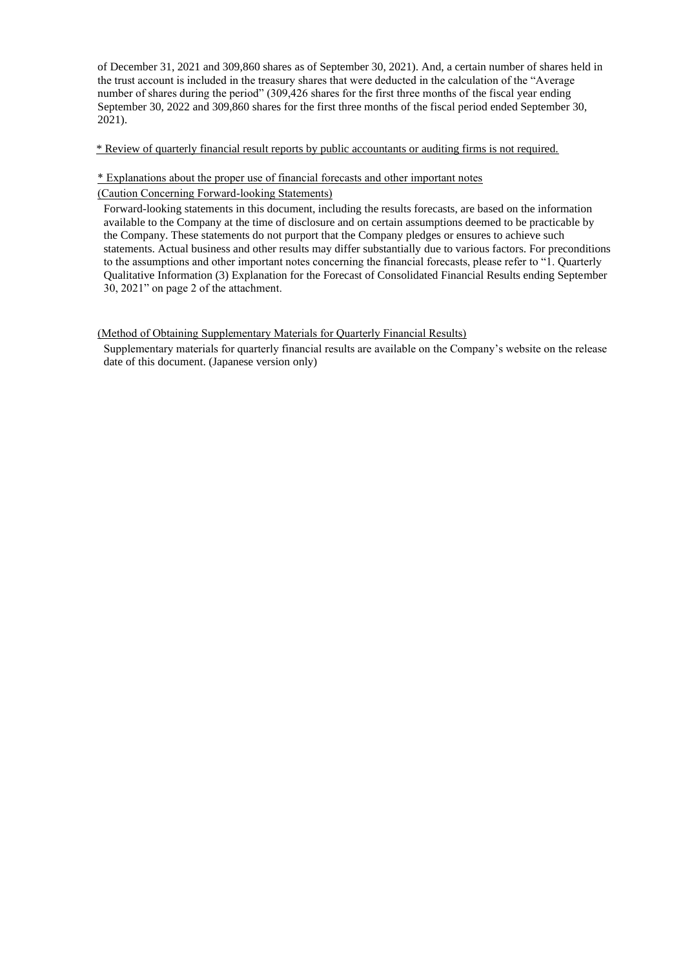of December 31, 2021 and 309,860 shares as of September 30, 2021). And, a certain number of shares held in the trust account is included in the treasury shares that were deducted in the calculation of the "Average number of shares during the period" (309,426 shares for the first three months of the fiscal year ending September 30, 2022 and 309,860 shares for the first three months of the fiscal period ended September 30, 2021).

\* Review of quarterly financial result reports by public accountants or auditing firms is not required.

#### \* Explanations about the proper use of financial forecasts and other important notes

(Caution Concerning Forward-looking Statements)

Forward-looking statements in this document, including the results forecasts, are based on the information available to the Company at the time of disclosure and on certain assumptions deemed to be practicable by the Company. These statements do not purport that the Company pledges or ensures to achieve such statements. Actual business and other results may differ substantially due to various factors. For preconditions to the assumptions and other important notes concerning the financial forecasts, please refer to "1. Quarterly Qualitative Information (3) Explanation for the Forecast of Consolidated Financial Results ending September 30, 2021" on page 2 of the attachment.

#### (Method of Obtaining Supplementary Materials for Quarterly Financial Results)

Supplementary materials for quarterly financial results are available on the Company's website on the release date of this document. (Japanese version only)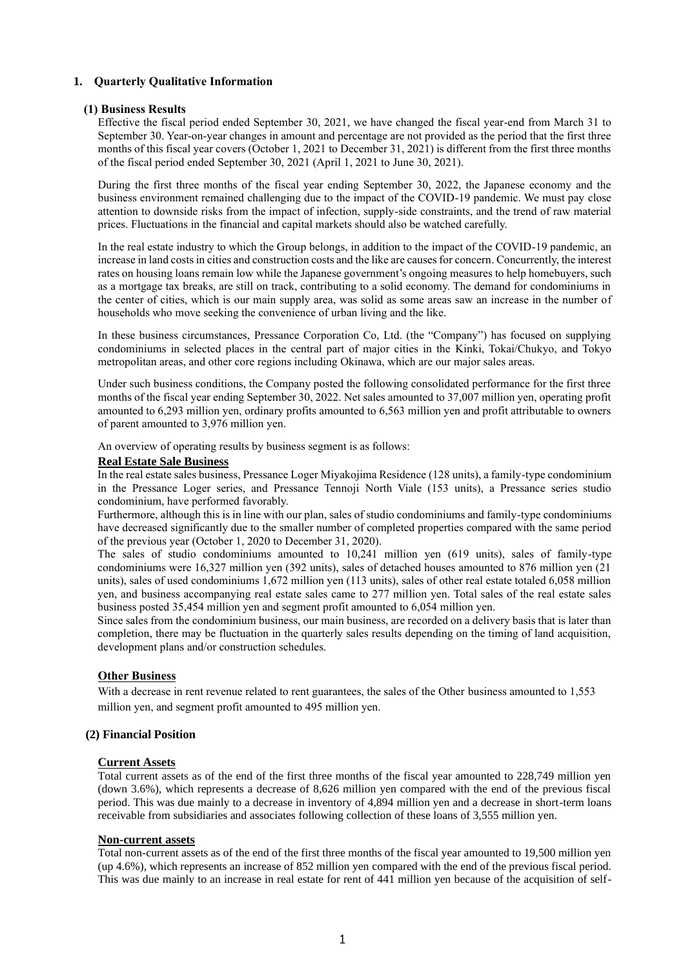## **1. Quarterly Qualitative Information**

#### **(1) Business Results**

Effective the fiscal period ended September 30, 2021, we have changed the fiscal year-end from March 31 to September 30. Year-on-year changes in amount and percentage are not provided as the period that the first three months of this fiscal year covers (October 1, 2021 to December 31, 2021) is different from the first three months of the fiscal period ended September 30, 2021 (April 1, 2021 to June 30, 2021).

During the first three months of the fiscal year ending September 30, 2022, the Japanese economy and the business environment remained challenging due to the impact of the COVID-19 pandemic. We must pay close attention to downside risks from the impact of infection, supply-side constraints, and the trend of raw material prices. Fluctuations in the financial and capital markets should also be watched carefully.

In the real estate industry to which the Group belongs, in addition to the impact of the COVID-19 pandemic, an increase in land costs in cities and construction costs and the like are causes for concern. Concurrently, the interest rates on housing loans remain low while the Japanese government's ongoing measures to help homebuyers, such as a mortgage tax breaks, are still on track, contributing to a solid economy. The demand for condominiums in the center of cities, which is our main supply area, was solid as some areas saw an increase in the number of households who move seeking the convenience of urban living and the like.

In these business circumstances, Pressance Corporation Co, Ltd. (the "Company") has focused on supplying condominiums in selected places in the central part of major cities in the Kinki, Tokai/Chukyo, and Tokyo metropolitan areas, and other core regions including Okinawa, which are our major sales areas.

Under such business conditions, the Company posted the following consolidated performance for the first three months of the fiscal year ending September 30, 2022. Net sales amounted to 37,007 million yen, operating profit amounted to 6,293 million yen, ordinary profits amounted to 6,563 million yen and profit attributable to owners of parent amounted to 3,976 million yen.

An overview of operating results by business segment is as follows:

#### **Real Estate Sale Business**

In the real estate sales business, Pressance Loger Miyakojima Residence (128 units), a family-type condominium in the Pressance Loger series, and Pressance Tennoji North Viale (153 units), a Pressance series studio condominium, have performed favorably.

Furthermore, although this is in line with our plan, sales of studio condominiums and family-type condominiums have decreased significantly due to the smaller number of completed properties compared with the same period of the previous year (October 1, 2020 to December 31, 2020).

The sales of studio condominiums amounted to 10,241 million yen (619 units), sales of family-type condominiums were 16,327 million yen (392 units), sales of detached houses amounted to 876 million yen (21 units), sales of used condominiums 1,672 million yen (113 units), sales of other real estate totaled 6,058 million yen, and business accompanying real estate sales came to 277 million yen. Total sales of the real estate sales business posted 35,454 million yen and segment profit amounted to 6,054 million yen.

Since sales from the condominium business, our main business, are recorded on a delivery basis that is later than completion, there may be fluctuation in the quarterly sales results depending on the timing of land acquisition, development plans and/or construction schedules.

#### **Other Business**

With a decrease in rent revenue related to rent guarantees, the sales of the Other business amounted to 1,553 million yen, and segment profit amounted to 495 million yen.

#### **(2) Financial Position**

#### **Current Assets**

Total current assets as of the end of the first three months of the fiscal year amounted to 228,749 million yen (down 3.6%), which represents a decrease of 8,626 million yen compared with the end of the previous fiscal period. This was due mainly to a decrease in inventory of 4,894 million yen and a decrease in short-term loans receivable from subsidiaries and associates following collection of these loans of 3,555 million yen.

#### **Non-current assets**

Total non-current assets as of the end of the first three months of the fiscal year amounted to 19,500 million yen (up 4.6%), which represents an increase of 852 million yen compared with the end of the previous fiscal period. This was due mainly to an increase in real estate for rent of 441 million yen because of the acquisition of self-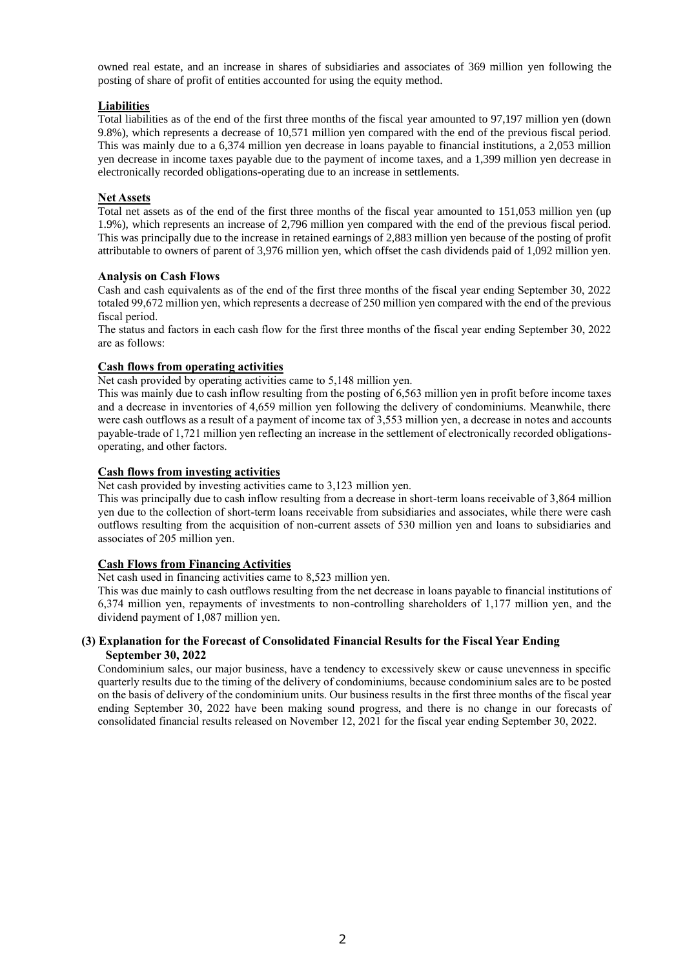owned real estate, and an increase in shares of subsidiaries and associates of 369 million yen following the posting of share of profit of entities accounted for using the equity method.

### **Liabilities**

Total liabilities as of the end of the first three months of the fiscal year amounted to 97,197 million yen (down 9.8%), which represents a decrease of 10,571 million yen compared with the end of the previous fiscal period. This was mainly due to a 6,374 million yen decrease in loans payable to financial institutions, a 2,053 million yen decrease in income taxes payable due to the payment of income taxes, and a 1,399 million yen decrease in electronically recorded obligations-operating due to an increase in settlements.

## **Net Assets**

Total net assets as of the end of the first three months of the fiscal year amounted to 151,053 million yen (up 1.9%), which represents an increase of 2,796 million yen compared with the end of the previous fiscal period. This was principally due to the increase in retained earnings of 2,883 million yen because of the posting of profit attributable to owners of parent of 3,976 million yen, which offset the cash dividends paid of 1,092 million yen.

#### **Analysis on Cash Flows**

Cash and cash equivalents as of the end of the first three months of the fiscal year ending September 30, 2022 totaled 99,672 million yen, which represents a decrease of 250 million yen compared with the end of the previous fiscal period.

The status and factors in each cash flow for the first three months of the fiscal year ending September 30, 2022 are as follows:

## **Cash flows from operating activities**

Net cash provided by operating activities came to 5,148 million yen.

This was mainly due to cash inflow resulting from the posting of 6,563 million yen in profit before income taxes and a decrease in inventories of 4,659 million yen following the delivery of condominiums. Meanwhile, there were cash outflows as a result of a payment of income tax of 3,553 million yen, a decrease in notes and accounts payable-trade of 1,721 million yen reflecting an increase in the settlement of electronically recorded obligationsoperating, and other factors.

## **Cash flows from investing activities**

Net cash provided by investing activities came to 3,123 million yen.

This was principally due to cash inflow resulting from a decrease in short-term loans receivable of 3,864 million yen due to the collection of short-term loans receivable from subsidiaries and associates, while there were cash outflows resulting from the acquisition of non-current assets of 530 million yen and loans to subsidiaries and associates of 205 million yen.

#### **Cash Flows from Financing Activities**

Net cash used in financing activities came to 8,523 million yen.

This was due mainly to cash outflows resulting from the net decrease in loans payable to financial institutions of 6,374 million yen, repayments of investments to non-controlling shareholders of 1,177 million yen, and the dividend payment of 1,087 million yen.

## **(3) Explanation for the Forecast of Consolidated Financial Results for the Fiscal Year Ending September 30, 2022**

Condominium sales, our major business, have a tendency to excessively skew or cause unevenness in specific quarterly results due to the timing of the delivery of condominiums, because condominium sales are to be posted on the basis of delivery of the condominium units. Our business results in the first three months of the fiscal year ending September 30, 2022 have been making sound progress, and there is no change in our forecasts of consolidated financial results released on November 12, 2021 for the fiscal year ending September 30, 2022.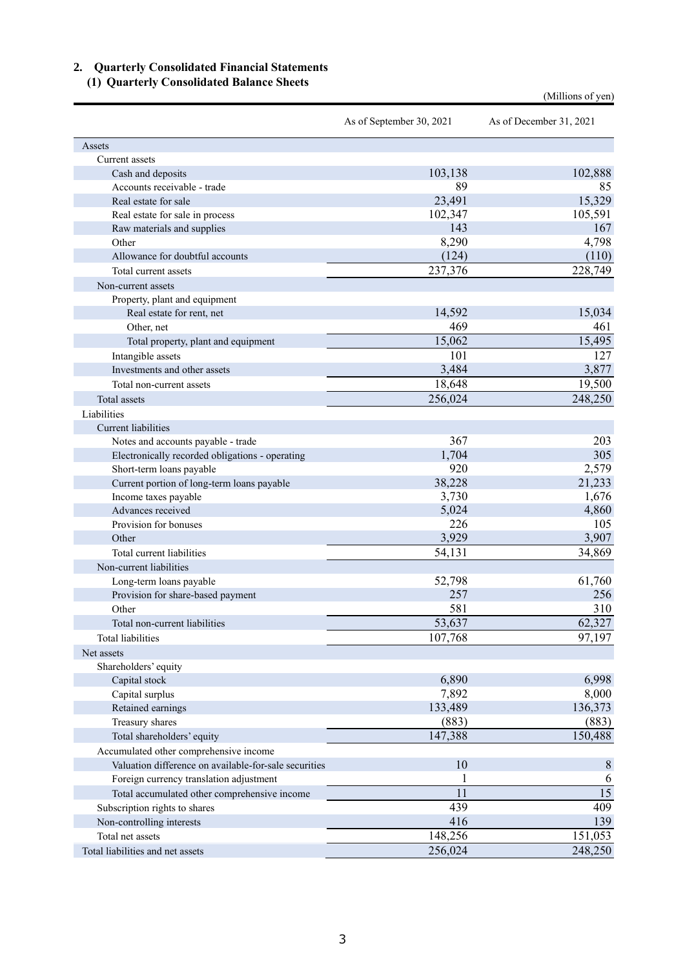# **2. Quarterly Consolidated Financial Statements**

# **(1) Quarterly Consolidated Balance Sheets**

(Millions of yen)

|                                                                                                 | As of September 30, 2021 | As of December 31, 2021 |
|-------------------------------------------------------------------------------------------------|--------------------------|-------------------------|
| Assets                                                                                          |                          |                         |
| Current assets                                                                                  |                          |                         |
| Cash and deposits                                                                               | 103,138                  | 102,888                 |
| Accounts receivable - trade                                                                     | 89                       | 85                      |
| Real estate for sale                                                                            | 23,491                   | 15,329                  |
| Real estate for sale in process                                                                 | 102,347                  | 105,591                 |
| Raw materials and supplies                                                                      | 143                      | 167                     |
| Other                                                                                           | 8,290                    | 4,798                   |
| Allowance for doubtful accounts                                                                 | (124)                    | (110)                   |
| Total current assets                                                                            | 237,376                  | 228,749                 |
| Non-current assets                                                                              |                          |                         |
| Property, plant and equipment                                                                   |                          |                         |
| Real estate for rent, net                                                                       | 14,592                   | 15,034                  |
| Other, net                                                                                      | 469                      | 461                     |
| Total property, plant and equipment                                                             | 15,062                   | 15,495                  |
| Intangible assets                                                                               | 101                      | 127                     |
| Investments and other assets                                                                    | 3,484                    | 3,877                   |
| Total non-current assets                                                                        | 18,648                   | 19,500                  |
| Total assets                                                                                    | 256,024                  | 248,250                 |
| Liabilities                                                                                     |                          |                         |
| Current liabilities                                                                             |                          |                         |
| Notes and accounts payable - trade                                                              | 367                      | 203                     |
| Electronically recorded obligations - operating                                                 | 1,704                    | 305                     |
| Short-term loans payable                                                                        | 920                      | 2,579                   |
| Current portion of long-term loans payable                                                      | 38,228                   | 21,233                  |
| Income taxes payable                                                                            | 3,730                    | 1,676                   |
| Advances received                                                                               | 5,024                    | 4,860                   |
| Provision for bonuses                                                                           | 226                      | 105                     |
| Other                                                                                           | 3,929                    | 3,907                   |
| Total current liabilities                                                                       | 54,131                   | 34,869                  |
| Non-current liabilities                                                                         |                          |                         |
| Long-term loans payable                                                                         | 52,798                   | 61,760                  |
| Provision for share-based payment                                                               | 257                      | 256                     |
| Other                                                                                           | 581                      | 310                     |
| Total non-current liabilities                                                                   | 53,637                   | 62,327                  |
| Total liabilities                                                                               | 107,768                  | 97,197                  |
| Net assets                                                                                      |                          |                         |
| Shareholders' equity                                                                            |                          |                         |
| Capital stock                                                                                   | 6,890                    | 6,998                   |
| Capital surplus                                                                                 | 7,892                    | 8,000                   |
| Retained earnings                                                                               | 133,489                  | 136,373                 |
| Treasury shares                                                                                 | (883)                    | (883)                   |
| Total shareholders' equity                                                                      | 147,388                  | 150,488                 |
|                                                                                                 |                          |                         |
| Accumulated other comprehensive income<br>Valuation difference on available-for-sale securities | 10                       | $8\phantom{1}$          |
|                                                                                                 |                          |                         |
| Foreign currency translation adjustment                                                         | 1<br>11                  | 6<br>$\overline{15}$    |
| Total accumulated other comprehensive income                                                    |                          |                         |
| Subscription rights to shares                                                                   | 439                      | 409                     |
| Non-controlling interests                                                                       | 416                      | 139                     |
| Total net assets                                                                                | 148,256                  | 151,053                 |
| Total liabilities and net assets                                                                | 256,024                  | 248,250                 |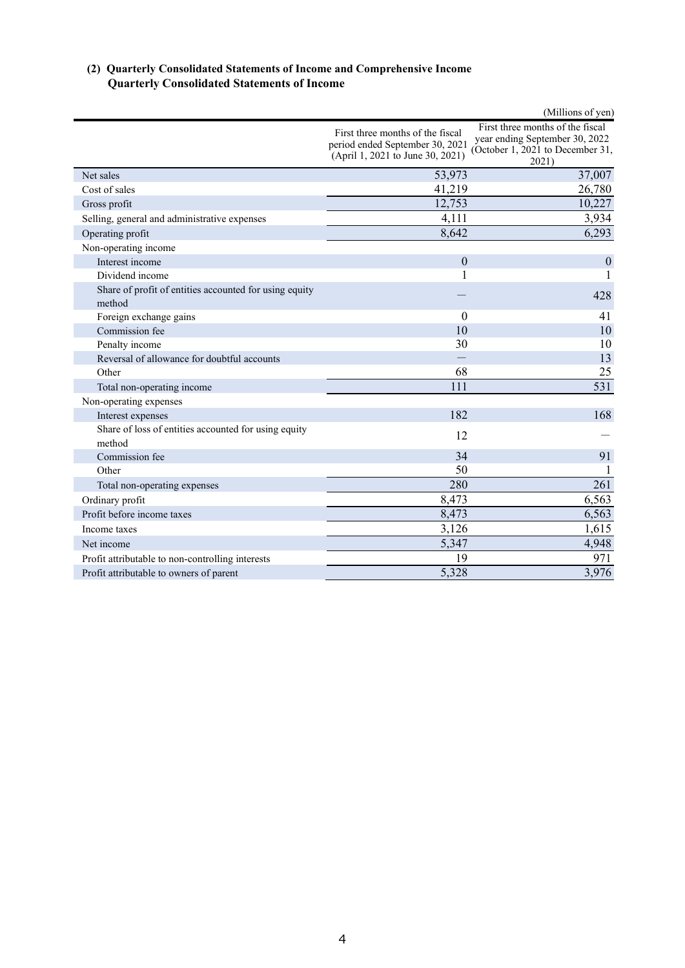## **(2) Quarterly Consolidated Statements of Income and Comprehensive Income Quarterly Consolidated Statements of Income**

|                                                                  |                                                                                                         | (Millions of yen)                                                                                               |
|------------------------------------------------------------------|---------------------------------------------------------------------------------------------------------|-----------------------------------------------------------------------------------------------------------------|
|                                                                  | First three months of the fiscal<br>period ended September 30, 2021<br>(April 1, 2021 to June 30, 2021) | First three months of the fiscal<br>year ending September 30, 2022<br>(October 1, 2021 to December 31,<br>2021) |
| Net sales                                                        | 53,973                                                                                                  | 37,007                                                                                                          |
| Cost of sales                                                    | 41,219                                                                                                  | 26,780                                                                                                          |
| Gross profit                                                     | 12,753                                                                                                  | 10,227                                                                                                          |
| Selling, general and administrative expenses                     | 4,111                                                                                                   | 3,934                                                                                                           |
| Operating profit                                                 | 8,642                                                                                                   | 6,293                                                                                                           |
| Non-operating income                                             |                                                                                                         |                                                                                                                 |
| Interest income                                                  | $\mathbf{0}$                                                                                            | $\mathbf{0}$                                                                                                    |
| Dividend income                                                  | 1                                                                                                       | 1                                                                                                               |
| Share of profit of entities accounted for using equity<br>method |                                                                                                         | 428                                                                                                             |
| Foreign exchange gains                                           | $\theta$                                                                                                | 41                                                                                                              |
| Commission fee                                                   | 10                                                                                                      | 10                                                                                                              |
| Penalty income                                                   | 30                                                                                                      | 10                                                                                                              |
| Reversal of allowance for doubtful accounts                      |                                                                                                         | 13                                                                                                              |
| Other                                                            | 68                                                                                                      | 25                                                                                                              |
| Total non-operating income                                       | 111                                                                                                     | 531                                                                                                             |
| Non-operating expenses                                           |                                                                                                         |                                                                                                                 |
| Interest expenses                                                | 182                                                                                                     | 168                                                                                                             |
| Share of loss of entities accounted for using equity<br>method   | 12                                                                                                      |                                                                                                                 |
| Commission fee                                                   | 34                                                                                                      | 91                                                                                                              |
| Other                                                            | 50                                                                                                      |                                                                                                                 |
| Total non-operating expenses                                     | 280                                                                                                     | 261                                                                                                             |
| Ordinary profit                                                  | 8,473                                                                                                   | 6,563                                                                                                           |
| Profit before income taxes                                       | 8,473                                                                                                   | 6,563                                                                                                           |
| Income taxes                                                     | 3,126                                                                                                   | 1,615                                                                                                           |
| Net income                                                       | 5,347                                                                                                   | 4,948                                                                                                           |
| Profit attributable to non-controlling interests                 | 19                                                                                                      | 971                                                                                                             |
| Profit attributable to owners of parent                          | 5,328                                                                                                   | 3,976                                                                                                           |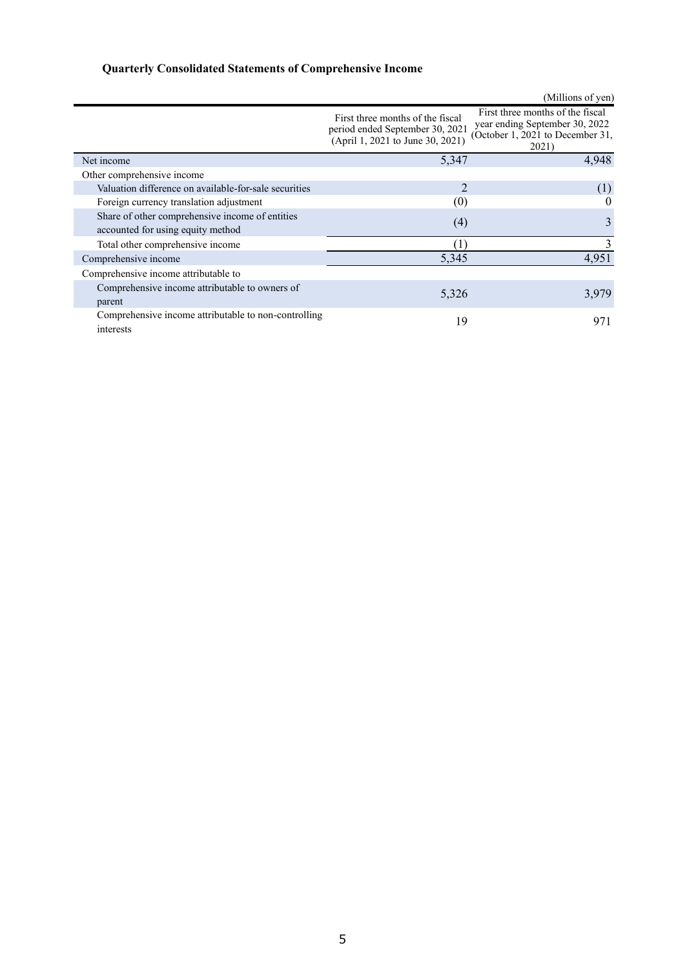# **Quarterly Consolidated Statements of Comprehensive Income**

|                                                                   |                                                                                                         | (Millions of yen)                                                                                               |
|-------------------------------------------------------------------|---------------------------------------------------------------------------------------------------------|-----------------------------------------------------------------------------------------------------------------|
|                                                                   | First three months of the fiscal<br>period ended September 30, 2021<br>(April 1, 2021 to June 30, 2021) | First three months of the fiscal<br>year ending September 30, 2022<br>(October 1, 2021 to December 31,<br>2021) |
| Net income                                                        | 5,347                                                                                                   | 4,948                                                                                                           |
| Other comprehensive income                                        |                                                                                                         |                                                                                                                 |
| Valuation difference on available-for-sale securities             |                                                                                                         | (1)                                                                                                             |
| Foreign currency translation adjustment                           | (0)                                                                                                     | $\theta$                                                                                                        |
| Share of other comprehensive income of entities                   | (4)                                                                                                     | 3                                                                                                               |
| accounted for using equity method                                 |                                                                                                         |                                                                                                                 |
| Total other comprehensive income                                  |                                                                                                         | 3                                                                                                               |
| Comprehensive income                                              | 5,345                                                                                                   | 4,951                                                                                                           |
| Comprehensive income attributable to                              |                                                                                                         |                                                                                                                 |
| Comprehensive income attributable to owners of<br>parent          | 5,326                                                                                                   | 3,979                                                                                                           |
| Comprehensive income attributable to non-controlling<br>interests | 19                                                                                                      | 971                                                                                                             |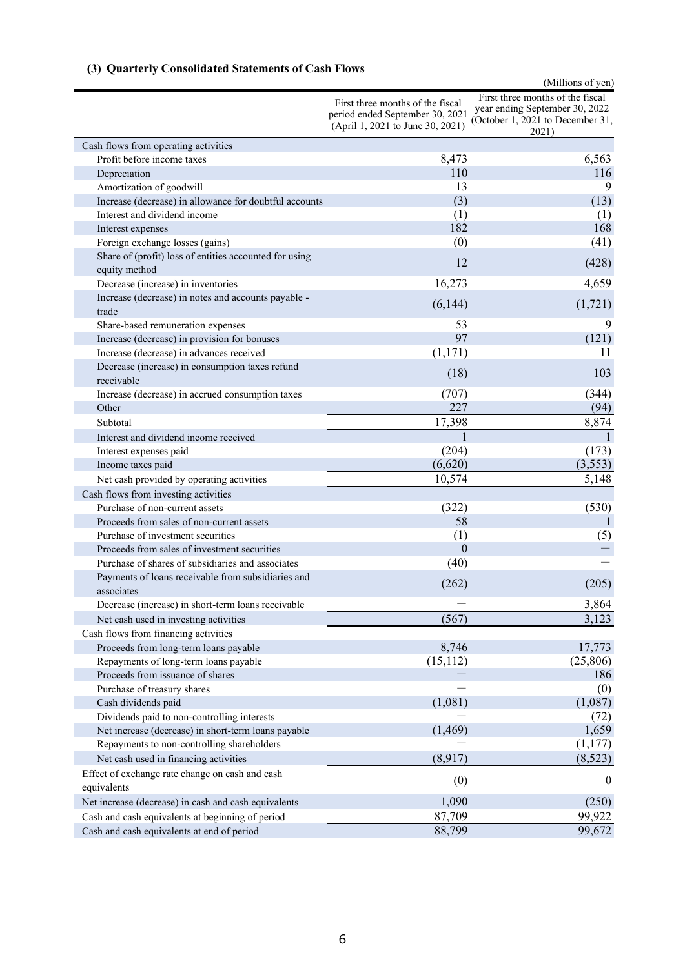# **(3) Quarterly Consolidated Statements of Cash Flows**

|                                                                  |                                                                                                         | (Millions of yen)                                                                                               |
|------------------------------------------------------------------|---------------------------------------------------------------------------------------------------------|-----------------------------------------------------------------------------------------------------------------|
|                                                                  | First three months of the fiscal<br>period ended September 30, 2021<br>(April 1, 2021 to June 30, 2021) | First three months of the fiscal<br>year ending September 30, 2022<br>(October 1, 2021 to December 31,<br>2021) |
| Cash flows from operating activities                             |                                                                                                         |                                                                                                                 |
| Profit before income taxes                                       | 8,473                                                                                                   | 6,563                                                                                                           |
| Depreciation                                                     | 110                                                                                                     | 116                                                                                                             |
| Amortization of goodwill                                         | 13                                                                                                      | 9                                                                                                               |
| Increase (decrease) in allowance for doubtful accounts           | (3)                                                                                                     | (13)                                                                                                            |
| Interest and dividend income                                     | (1)                                                                                                     | (1)                                                                                                             |
| Interest expenses                                                | 182                                                                                                     | 168                                                                                                             |
| Foreign exchange losses (gains)                                  | (0)                                                                                                     | (41)                                                                                                            |
| Share of (profit) loss of entities accounted for using           | 12                                                                                                      | (428)                                                                                                           |
| equity method                                                    |                                                                                                         |                                                                                                                 |
| Decrease (increase) in inventories                               | 16,273                                                                                                  | 4,659                                                                                                           |
| Increase (decrease) in notes and accounts payable -<br>trade     | (6,144)                                                                                                 | (1,721)                                                                                                         |
| Share-based remuneration expenses                                | 53                                                                                                      | 9                                                                                                               |
| Increase (decrease) in provision for bonuses                     | 97                                                                                                      | (121)                                                                                                           |
| Increase (decrease) in advances received                         | (1,171)                                                                                                 | 11                                                                                                              |
| Decrease (increase) in consumption taxes refund<br>receivable    | (18)                                                                                                    | 103                                                                                                             |
| Increase (decrease) in accrued consumption taxes                 | (707)                                                                                                   | (344)                                                                                                           |
| Other                                                            | 227                                                                                                     | (94)                                                                                                            |
| Subtotal                                                         | 17,398                                                                                                  | 8,874                                                                                                           |
| Interest and dividend income received                            | 1                                                                                                       | $\mathbf{1}$                                                                                                    |
| Interest expenses paid                                           | (204)                                                                                                   | (173)                                                                                                           |
| Income taxes paid                                                | (6,620)                                                                                                 | (3,553)                                                                                                         |
| Net cash provided by operating activities                        | 10,574                                                                                                  | 5,148                                                                                                           |
| Cash flows from investing activities                             |                                                                                                         |                                                                                                                 |
| Purchase of non-current assets                                   | (322)                                                                                                   | (530)                                                                                                           |
| Proceeds from sales of non-current assets                        | 58                                                                                                      |                                                                                                                 |
| Purchase of investment securities                                | (1)                                                                                                     | (5)                                                                                                             |
| Proceeds from sales of investment securities                     | $\theta$                                                                                                |                                                                                                                 |
| Purchase of shares of subsidiaries and associates                | (40)                                                                                                    |                                                                                                                 |
| Payments of loans receivable from subsidiaries and<br>associates | (262)                                                                                                   | (205)                                                                                                           |
| Decrease (increase) in short-term loans receivable               |                                                                                                         | 3,864                                                                                                           |
| Net cash used in investing activities                            | (567)                                                                                                   | 3,123                                                                                                           |
| Cash flows from financing activities                             |                                                                                                         |                                                                                                                 |
| Proceeds from long-term loans payable                            | 8,746                                                                                                   | 17,773                                                                                                          |
| Repayments of long-term loans payable                            | (15,112)                                                                                                | (25,806)                                                                                                        |
| Proceeds from issuance of shares                                 |                                                                                                         | 186                                                                                                             |
| Purchase of treasury shares                                      |                                                                                                         | (0)                                                                                                             |
| Cash dividends paid                                              | (1,081)                                                                                                 | (1,087)                                                                                                         |
| Dividends paid to non-controlling interests                      |                                                                                                         | (72)                                                                                                            |
| Net increase (decrease) in short-term loans payable              | (1, 469)                                                                                                | 1,659                                                                                                           |
| Repayments to non-controlling shareholders                       |                                                                                                         | (1,177)                                                                                                         |
| Net cash used in financing activities                            | (8,917)                                                                                                 | (8,523)                                                                                                         |
| Effect of exchange rate change on cash and cash<br>equivalents   | (0)                                                                                                     | $\theta$                                                                                                        |
| Net increase (decrease) in cash and cash equivalents             | 1,090                                                                                                   | (250)                                                                                                           |
| Cash and cash equivalents at beginning of period                 | 87,709                                                                                                  | 99,922                                                                                                          |
| Cash and cash equivalents at end of period                       | 88,799                                                                                                  | 99,672                                                                                                          |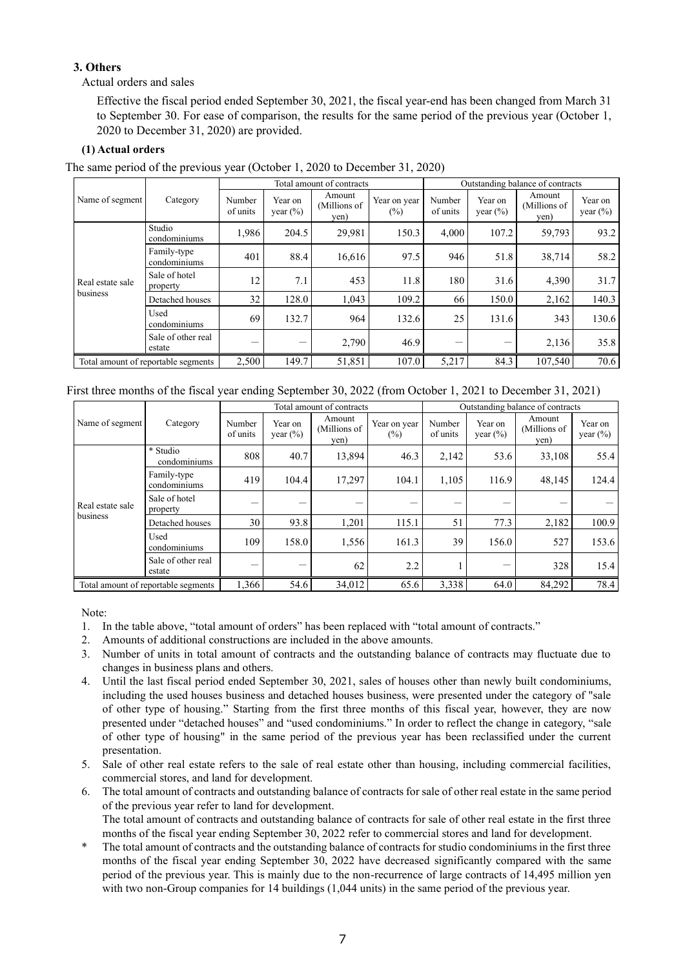# **3. Others**

Actual orders and sales

Effective the fiscal period ended September 30, 2021, the fiscal year-end has been changed from March 31 to September 30. For ease of comparison, the results for the same period of the previous year (October 1, 2020 to December 31, 2020) are provided.

# **(1) Actual orders**

The same period of the previous year (October 1, 2020 to December 31, 2020)

|                                     | Category                     | Total amount of contracts |                         |                                |                        | Outstanding balance of contracts |                         |                                |                         |
|-------------------------------------|------------------------------|---------------------------|-------------------------|--------------------------------|------------------------|----------------------------------|-------------------------|--------------------------------|-------------------------|
| Name of segment                     |                              | Number<br>of units        | Year on<br>year $(\% )$ | Amount<br>(Millions of<br>yen) | Year on year<br>$(\%)$ | Number<br>of units               | Year on<br>year $(\% )$ | Amount<br>(Millions of<br>yen) | Year on<br>year $(\% )$ |
| Real estate sale<br>business        | Studio<br>condominiums       | 1,986                     | 204.5                   | 29,981                         | 150.3                  | 4.000                            | 107.2                   | 59,793                         | 93.2                    |
|                                     | Family-type<br>condominiums  | 401                       | 88.4                    | 16,616                         | 97.5                   | 946                              | 51.8                    | 38,714                         | 58.2                    |
|                                     | Sale of hotel<br>property    | 12                        | 7.1                     | 453                            | 11.8                   | 180                              | 31.6                    | 4,390                          | 31.7                    |
|                                     | Detached houses              | 32                        | 128.0                   | 1.043                          | 109.2                  | 66                               | 150.0                   | 2,162                          | 140.3                   |
|                                     | Used<br>condominiums         | 69                        | 132.7                   | 964                            | 132.6                  | 25                               | 131.6                   | 343                            | 130.6                   |
|                                     | Sale of other real<br>estate |                           | –                       | 2,790                          | 46.9                   |                                  | –                       | 2,136                          | 35.8                    |
| Total amount of reportable segments |                              | 2,500                     | 149.7                   | 51,851                         | 107.0                  | 5,217                            | 84.3                    | 107,540                        | 70.6                    |

## First three months of the fiscal year ending September 30, 2022 (from October 1, 2021 to December 31, 2021)

|                                     |                              | Total amount of contracts |                        |                                |                        | Outstanding balance of contracts |                         |                                |                        |
|-------------------------------------|------------------------------|---------------------------|------------------------|--------------------------------|------------------------|----------------------------------|-------------------------|--------------------------------|------------------------|
| Name of segment                     | Category                     | Number<br>of units        | Year on<br>year $(\%)$ | Amount<br>(Millions of<br>yen) | Year on year<br>$(\%)$ | Number<br>of units               | Year on<br>year $(\% )$ | Amount<br>(Millions of<br>yen) | Year on<br>year $(\%)$ |
| Real estate sale<br>business        | * Studio<br>condominiums     | 808                       | 40.7                   | 13,894                         | 46.3                   | 2,142                            | 53.6                    | 33.108                         | 55.4                   |
|                                     | Family-type<br>condominiums  | 419                       | 104.4                  | 17,297                         | 104.1                  | 1,105                            | 116.9                   | 48,145                         | 124.4                  |
|                                     | Sale of hotel<br>property    |                           |                        |                                |                        |                                  |                         |                                |                        |
|                                     | Detached houses              | 30                        | 93.8                   | 1,201                          | 115.1                  | 51                               | 77.3                    | 2,182                          | 100.9                  |
|                                     | Used<br>condominiums         | 109                       | 158.0                  | 1,556                          | 161.3                  | 39                               | 156.0                   | 527                            | 153.6                  |
|                                     | Sale of other real<br>estate |                           |                        | 62                             | 2.2                    |                                  |                         | 328                            | 15.4                   |
| Total amount of reportable segments |                              | 1,366                     | 54.6                   | 34,012                         | 65.6                   | 3,338                            | 64.0                    | 84,292                         | 78.4                   |

Note:

- 1. In the table above, "total amount of orders" has been replaced with "total amount of contracts."
- 2. Amounts of additional constructions are included in the above amounts.
- 3. Number of units in total amount of contracts and the outstanding balance of contracts may fluctuate due to changes in business plans and others.
- 4. Until the last fiscal period ended September 30, 2021, sales of houses other than newly built condominiums, including the used houses business and detached houses business, were presented under the category of "sale of other type of housing." Starting from the first three months of this fiscal year, however, they are now presented under "detached houses" and "used condominiums." In order to reflect the change in category, "sale of other type of housing" in the same period of the previous year has been reclassified under the current presentation.
- 5. Sale of other real estate refers to the sale of real estate other than housing, including commercial facilities, commercial stores, and land for development.
- 6. The total amount of contracts and outstanding balance of contracts for sale of other real estate in the same period of the previous year refer to land for development.

The total amount of contracts and outstanding balance of contracts for sale of other real estate in the first three months of the fiscal year ending September 30, 2022 refer to commercial stores and land for development.

The total amount of contracts and the outstanding balance of contracts for studio condominiums in the first three months of the fiscal year ending September 30, 2022 have decreased significantly compared with the same period of the previous year. This is mainly due to the non-recurrence of large contracts of 14,495 million yen with two non-Group companies for 14 buildings (1,044 units) in the same period of the previous year.